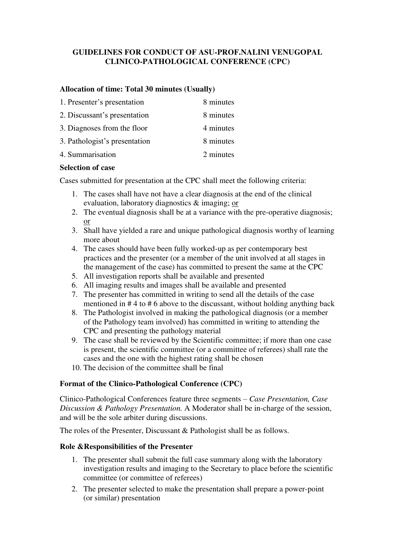## **GUIDELINES FOR CONDUCT OF ASU-PROF.NALINI VENUGOPAL CLINICO-PATHOLOGICAL CONFERENCE (CPC)**

## **Allocation of time: Total 30 minutes (Usually)**

| 1. Presenter's presentation   | 8 minutes |
|-------------------------------|-----------|
| 2. Discussant's presentation  | 8 minutes |
| 3. Diagnoses from the floor   | 4 minutes |
| 3. Pathologist's presentation | 8 minutes |
| 4. Summarisation              | 2 minutes |

### **Selection of case**

Cases submitted for presentation at the CPC shall meet the following criteria:

- 1. The cases shall have not have a clear diagnosis at the end of the clinical evaluation, laboratory diagnostics & imaging; or
- 2. The eventual diagnosis shall be at a variance with the pre-operative diagnosis; or
- 3. Shall have yielded a rare and unique pathological diagnosis worthy of learning more about
- 4. The cases should have been fully worked-up as per contemporary best practices and the presenter (or a member of the unit involved at all stages in the management of the case) has committed to present the same at the CPC
- 5. All investigation reports shall be available and presented
- 6. All imaging results and images shall be available and presented
- 7. The presenter has committed in writing to send all the details of the case mentioned in # 4 to # 6 above to the discussant, without holding anything back
- 8. The Pathologist involved in making the pathological diagnosis (or a member of the Pathology team involved) has committed in writing to attending the CPC and presenting the pathology material
- 9. The case shall be reviewed by the Scientific committee; if more than one case is present, the scientific committee (or a committee of referees) shall rate the cases and the one with the highest rating shall be chosen
- 10. The decision of the committee shall be final

# **Format of the Clinico-Pathological Conference (CPC)**

Clinico-Pathological Conferences feature three segments – *Case Presentation, Case Discussion & Pathology Presentation.* A Moderator shall be in-charge of the session, and will be the sole arbiter during discussions.

The roles of the Presenter, Discussant & Pathologist shall be as follows.

### **Role &Responsibilities of the Presenter**

- 1. The presenter shall submit the full case summary along with the laboratory investigation results and imaging to the Secretary to place before the scientific committee (or committee of referees)
- 2. The presenter selected to make the presentation shall prepare a power-point (or similar) presentation